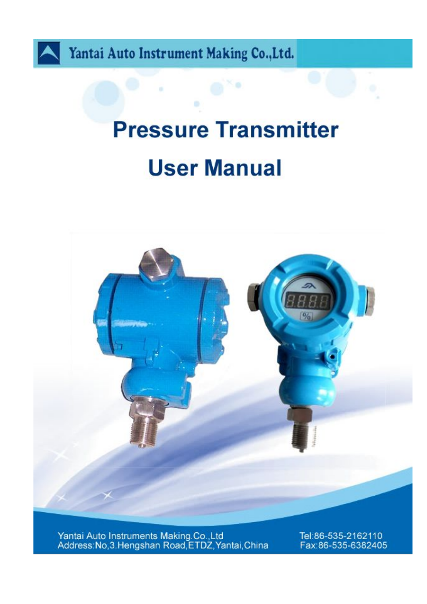

Yantai Auto Instrument Making Co., Ltd.

# **Pressure Transmitter User Manual**



Yantai Auto Instruments Making.Co.,Ltd<br>Address:No,3.Hengshan Road,ETDZ,Yantai,China

Tel:86-535-2162110 Fax:86-535-6382405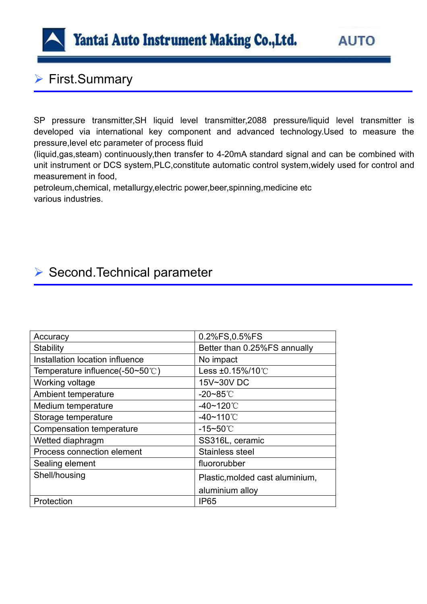

# ▶ First.Summary

SP pressure transmitter, SH liquid level transmitter, 2088 pressure/liquid level transmitter is developed via international key component and advanced technology.Used to measure the pressure,level etc parameter of process fluid

(liquid,gas,steam) continuously,then transfer to 4-20mA standard signal and can be combined with unit instrument or DCS system,PLC,constitute automatic control system,widely used for control and measurement in food,

petroleum,chemical, metallurgy,electric power,beer,spinning,medicine etc various industries.

### ▶ Second.Technical parameter

| Accuracy                            | 0.2%FS,0.5%FS                   |
|-------------------------------------|---------------------------------|
| Stability                           | Better than 0.25%FS annually    |
| Installation location influence     | No impact                       |
| Temperature influence(-50~50 $°C$ ) | Less ±0.15%/10℃                 |
| Working voltage                     | 15V~30V DC                      |
| Ambient temperature                 | -20~85 $°C$                     |
| Medium temperature                  | $-40$ ~120 $°C$                 |
| Storage temperature                 | $-40 - 110^{\circ}$ C           |
| Compensation temperature            | $-15 - 50^{\circ}$ C            |
| Wetted diaphragm                    | SS316L, ceramic                 |
| Process connection element          | Stainless steel                 |
| Sealing element                     | fluororubber                    |
| Shell/housing                       | Plastic, molded cast aluminium, |
|                                     | aluminium alloy                 |
| Protection                          | <b>IP65</b>                     |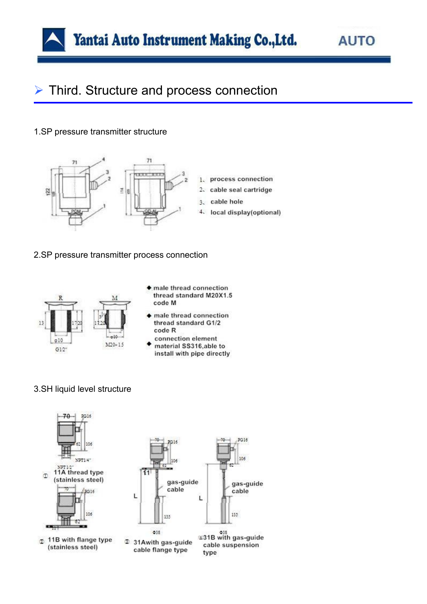

## **▶ Third. Structure and process connection**

#### 1.SP pressure transmitter structure



- 1. process connection 2. cable seal cartridge
	- cable hole
- 4. local display(optional)

#### 2.SP pressure transmitter process connection



- male thread connection thread standard M20X1.5 code M
- male thread connection thread standard G1/2 code R
- connection element material SS316,able to install with pipe directly

### 3.SH liquid level structure

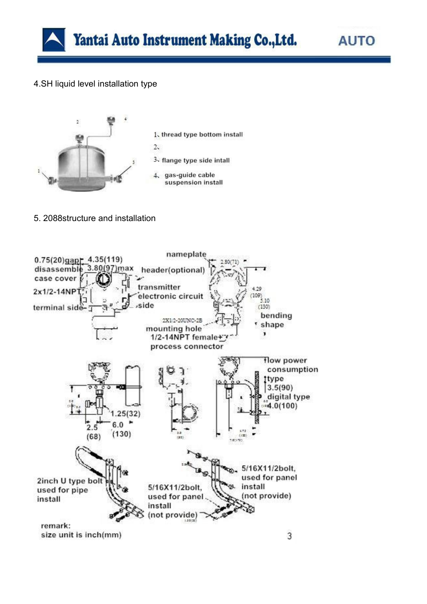

### 4.SH liquid level installation type



5. 2088structure and installation

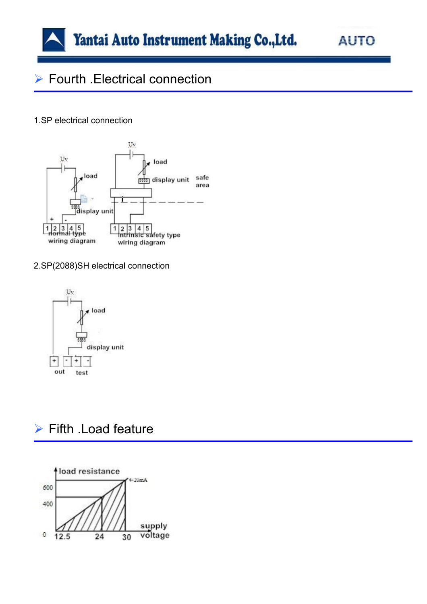

**AUTO** 

# ▶ Fourth .Electrical connection

#### 1.SP electrical connection



2.SP(2088)SH electrical connection



### $\triangleright$  Fifth . Load feature

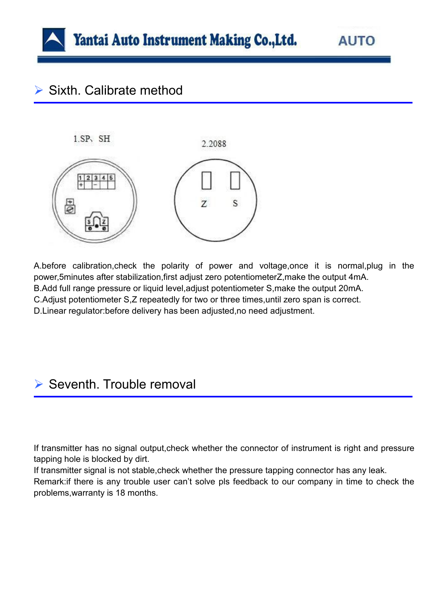

# $\triangleright$  Sixth. Calibrate method



A.before calibration,check the polarity of power and voltage,once it is normal,plug in the power,5minutes after stabilization,first adjust zero potentiometerZ,make the output 4mA. B.Add full range pressure or liquid level, adjust potentiometer S, make the output 20mA. C.Adjust potentiometer S,Z repeatedly for two or three times,until zero span is correct. D.Linear regulator:before delivery has been adjusted,no need adjustment.

## $\triangleright$  Seventh. Trouble removal

If transmitter has no signal output,check whether the connector of instrument is right and pressure tapping hole is blocked by dirt.

If transmitter signal is not stable,check whether the pressure tapping connector has any leak.

Remark:if there is any trouble user can't solve pls feedback to our company in time to check the problems,warranty is 18 months.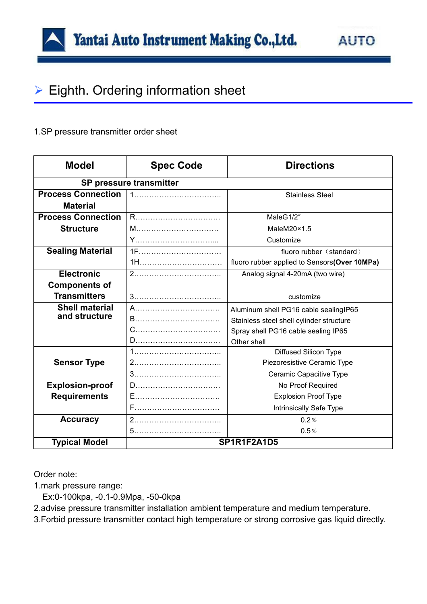# $\triangleright$  Eighth. Ordering information sheet

### 1.SP pressure transmitter order sheet

| <b>Model</b>              | <b>Spec Code</b> | <b>Directions</b>                            |  |
|---------------------------|------------------|----------------------------------------------|--|
| SP pressure transmitter   |                  |                                              |  |
| <b>Process Connection</b> |                  | <b>Stainless Steel</b>                       |  |
| <b>Material</b>           |                  |                                              |  |
| <b>Process Connection</b> |                  | MaleG1/2"                                    |  |
| <b>Structure</b>          |                  | MaleM20×1.5                                  |  |
|                           |                  | Customize                                    |  |
| <b>Sealing Material</b>   | 1F               | fluoro rubber (standard)                     |  |
|                           | 1H               | fluoro rubber applied to Sensors(Over 10MPa) |  |
| <b>Electronic</b>         |                  | Analog signal 4-20mA (two wire)              |  |
| <b>Components of</b>      |                  |                                              |  |
| <b>Transmitters</b>       |                  | customize                                    |  |
| <b>Shell material</b>     |                  | Aluminum shell PG16 cable sealingIP65        |  |
| and structure             | B                | Stainless steel shell cylinder structure     |  |
|                           |                  | Spray shell PG16 cable sealing IP65          |  |
|                           |                  | Other shell                                  |  |
|                           |                  | <b>Diffused Silicon Type</b>                 |  |
| <b>Sensor Type</b>        |                  | Piezoresistive Ceramic Type                  |  |
|                           |                  | Ceramic Capacitive Type                      |  |
| <b>Explosion-proof</b>    |                  | No Proof Required                            |  |
| <b>Requirements</b>       |                  | <b>Explosion Proof Type</b>                  |  |
|                           |                  | Intrinsically Safe Type                      |  |
| <b>Accuracy</b>           |                  | 0.2%                                         |  |
|                           |                  | 0.5%                                         |  |
| <b>Typical Model</b>      | SP1R1F2A1D5      |                                              |  |

Order note:

1.mark pressure range:

Ex:0-100kpa, -0.1-0.9Mpa, -50-0kpa

2.advise pressure transmitter installation ambient temperature and medium temperature.

3.Forbid pressure transmitter contact high temperature or strong corrosive gas liquid directly.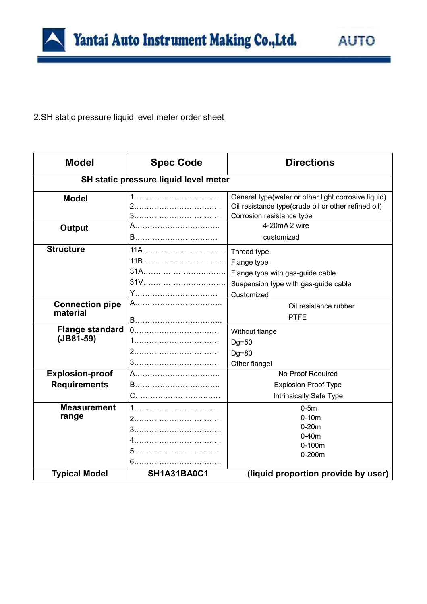2.SH static pressure liquid level meter order sheet

| <b>Model</b>           | <b>Spec Code</b>                      | <b>Directions</b>                                    |
|------------------------|---------------------------------------|------------------------------------------------------|
|                        | SH static pressure liquid level meter |                                                      |
| <b>Model</b>           |                                       | General type (water or other light corrosive liquid) |
|                        |                                       | Oil resistance type(crude oil or other refined oil)  |
|                        |                                       | Corrosion resistance type                            |
| <b>Output</b>          |                                       | 4-20mA 2 wire                                        |
|                        |                                       | customized                                           |
| <b>Structure</b>       |                                       | Thread type                                          |
|                        |                                       | Flange type                                          |
|                        | 31A                                   | Flange type with gas-guide cable                     |
|                        | 31V                                   | Suspension type with gas-guide cable                 |
|                        | Y                                     | Customized                                           |
| <b>Connection pipe</b> | A……………………………………                       | Oil resistance rubber                                |
| material               |                                       | <b>PTFE</b>                                          |
| <b>Flange standard</b> |                                       | Without flange                                       |
| $(JB81-59)$            |                                       | $Dg=50$                                              |
|                        |                                       | $Dg=80$                                              |
|                        |                                       | Other flangel                                        |
| <b>Explosion-proof</b> | A…………………………………                        | No Proof Required                                    |
| <b>Requirements</b>    |                                       | <b>Explosion Proof Type</b>                          |
|                        |                                       | Intrinsically Safe Type                              |
| <b>Measurement</b>     |                                       | $0-5m$                                               |
| range                  |                                       | $0 - 10m$                                            |
|                        |                                       | $0-20m$                                              |
|                        |                                       | $0-40m$                                              |
|                        |                                       | $0 - 100m$                                           |
|                        |                                       | $0 - 200m$                                           |
| <b>Typical Model</b>   | SH1A31BA0C1                           | (liquid proportion provide by user)                  |